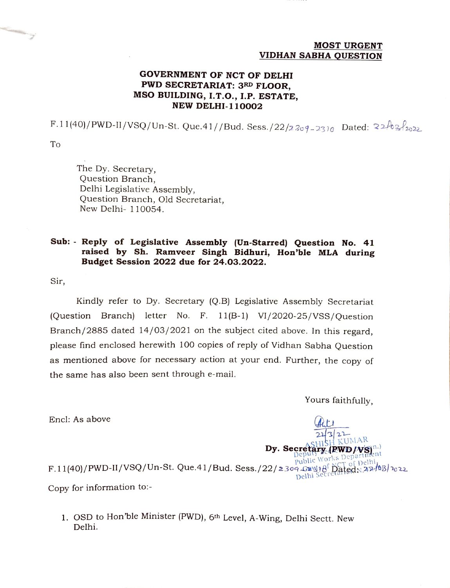#### MOST URGENT VIDHAN SABHA QUESTION

### GOVERNMENT OF NCT OF DELHI PWD SECRETARIAT: 3RD FLOOR, MSO BUILDING, I.T.O., I.P. ESTATE, NEW DELHI-110002

F.11(40)/PWD-II/VSQ/Un-St. Que.41//Bud. Sess./22/2309-2310 Dated:  $22/02/2022$ 

To

The Dy. Secretary, Question Branch, Delhi Legislative Assembly, Question Branch, Old Secretariat, New Delhi- 110054.

#### Sub: Reply of Legislative Assembly (Un-Starred) Question No. 41 raised by Sh. Ramveer Singh Bidhuri, Hon'ble MLA during Budget Session 2022 due for 24.03.2022.

Sir,

Kindly refer to Dy. Secretary (Q.B) Legislative Assembly Secretariat (Question Branch) letter No. F. 11(B-1) VI/2020-25/VSS/Question Branch/2885 dated 14/03/2021 on the subject cited above. In this regard, please find enclosed herewith 100 copies of reply of Vidhan Sabha Question as mentioned above for necessary action at your end. Further, the copy of the same has also been sent through e-mail.

Yours faithfully,

 $\boldsymbol{R}\boldsymbol{W}\boldsymbol{D}/\boldsymbol{V}\boldsymbol{S}$ i $^{n}$ 

 $\frac{441}{22322}$ 

Dy. Secretary (RWD/VS

Encl: As above

 $F.11(40)/PWD-II/VSQ/Un-St. Que.41/Bud. Sess./22/2309 G^{avg18}D^{8}D^{2}d^{2}N^{2}d^{6}B/v^{2}$ Copy for information to:-

1. OSD to Hon'ble Minister (PWD), 6th Level, A-Wing, Delhi Sectt. New Delhi.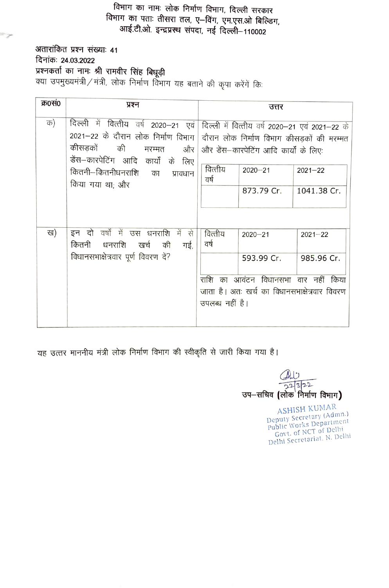# विभाग का नामः लोक निर्माण विभाग, दिल्ली सरकार विभाग का पताः तीसरा तल, ए—विंग, एम.एस.ओ बिल्डिग,<br>आई.टी.ओ. इन्द्रप्रस्थ संपदा, नई दिल्ली—110002

अतारांकित प्रश्न संख्याः 41 **दिनांकः 24.03.2022**<br>**प्रश्नकर्ता का नामः श्री रामवीर सिंह बिधूड़ी**<br>क्या उपमुख्यमंत्री / मंत्री, लोक निर्माण विभाग यह बताने की कृपा करेंगें किः

Þ

| क्र0सं0 |                                                                                                                                                                                                                                                                                                |                                    |                                                                                                                    |                            |
|---------|------------------------------------------------------------------------------------------------------------------------------------------------------------------------------------------------------------------------------------------------------------------------------------------------|------------------------------------|--------------------------------------------------------------------------------------------------------------------|----------------------------|
|         | प्रश्न                                                                                                                                                                                                                                                                                         |                                    | उत्तर                                                                                                              |                            |
| क)      | दिल्ली में वित्तीय वर्ष 2020-21 एवं दिल्ली में वित्तीय वर्ष 2020-21 एवं 2021-22 के<br>2021-22 के दौरान लोक निर्माण विभाग   दौरान लोक निर्माण विभाग कीसड़कों की मरम्मत<br>कीसडकों की<br>मरम्मत और  <br>डेंस-कारपेटिंग आदि कार्यों के लिए<br>कितनी–कितनीधनराशि का<br>प्रावधान<br>किया गया था; और | वित्तीय<br>वर्ष                    | और डेंस-कारपेटिंग आदि कार्यों के लिएः<br>$2020 - 21$<br>873.79 Cr.                                                 | $2021 - 22$<br>1041.38 Cr. |
| ख)      | इन दो वर्षों में उस धनराशि में से<br>कितनी<br>धनराशि खर्च<br>की<br>गई,<br>विधानसभाक्षेत्रवार पूर्ण विवरण दें?                                                                                                                                                                                  | वित्तीय<br>वर्ष<br>उपलब्ध नहीं है। | $2020 - 21$<br>593.99 Cr.<br>राशि का आवंटन विधानसभा वार नहीं किया<br>जाता है। अतः खर्च का विधानसभाक्षेत्रवार विवरण | $2021 - 22$<br>985.96 Cr.  |

यह उत्तर माननीय मंत्री लोक निर्माण विभाग की स्वीकृति से जारी किया गया है।

h 2322 उप-सचिव (लोक $\overline{a}$ निर्माण विभाग)

ASHISH KUMAR Deputy Secretary (Admn.) Public Works Department Govt. of NCT of Delhi Delhi Secretariat, N. Delhi